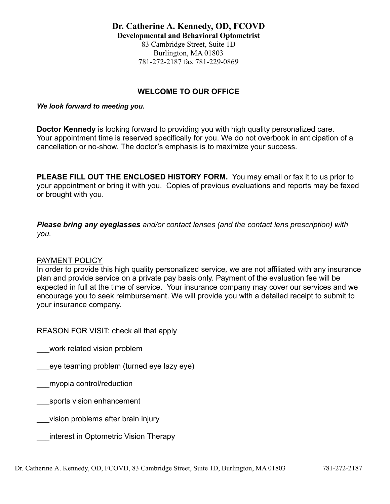## **WELCOME TO OUR OFFICE**

## *We look forward to meeting you.*

**Doctor Kennedy** is looking forward to providing you with high quality personalized care. Your appointment time is reserved specifically for you. We do not overbook in anticipation of a cancellation or no-show. The doctor's emphasis is to maximize your success.

**PLEASE FILL OUT THE ENCLOSED HISTORY FORM.** You may email or fax it to us prior to your appointment or bring it with you. Copies of previous evaluations and reports may be faxed or brought with you.

*Please bring any eyeglasses and/or contact lenses (and the contact lens prescription) with you.*

## PAYMENT POLICY

In order to provide this high quality personalized service*,* we are not affiliated with any insurance plan and provide service on a private pay basis only. Payment of the evaluation fee will be expected in full at the time of service. Your insurance company may cover our services and we encourage you to seek reimbursement. We will provide you with a detailed receipt to submit to your insurance company.

REASON FOR VISIT: check all that apply

work related vision problem

\_\_\_eye teaming problem (turned eye lazy eye)

- \_\_\_myopia control/reduction
- sports vision enhancement
- \_\_\_vision problems after brain injury

\_\_\_interest in Optometric Vision Therapy